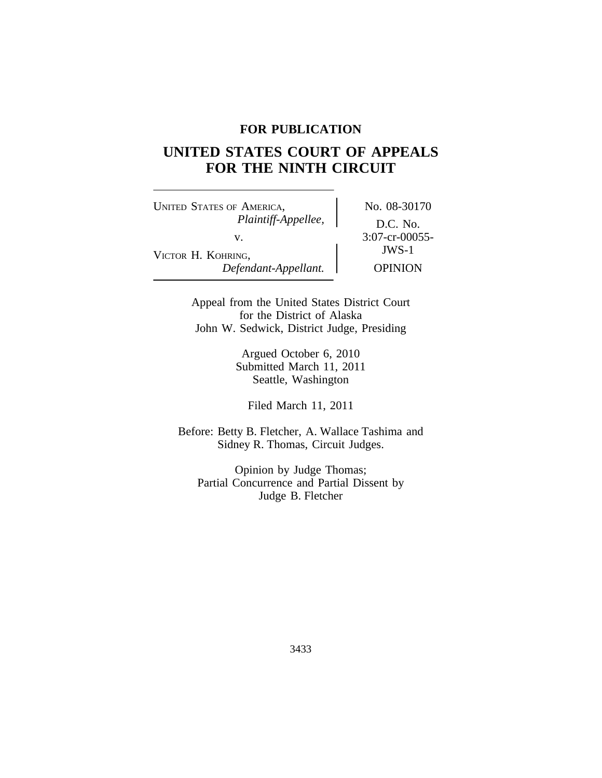## **FOR PUBLICATION**

# **UNITED STATES COURT OF APPEALS FOR THE NINTH CIRCUIT**

UNITED STATES OF AMERICA, No. 08-30170 *Plaintiff-Appellee,* D.C. No. v.  $\begin{matrix}\n 3:07\text{-}cr-0.0055\n \end{matrix}$ VICTOR H. KOHRING, *Defendant-Appellant.* OPINION

Appeal from the United States District Court for the District of Alaska John W. Sedwick, District Judge, Presiding

> Argued October 6, 2010 Submitted March 11, 2011 Seattle, Washington

Filed March 11, 2011

Before: Betty B. Fletcher, A. Wallace Tashima and Sidney R. Thomas, Circuit Judges.

Opinion by Judge Thomas; Partial Concurrence and Partial Dissent by Judge B. Fletcher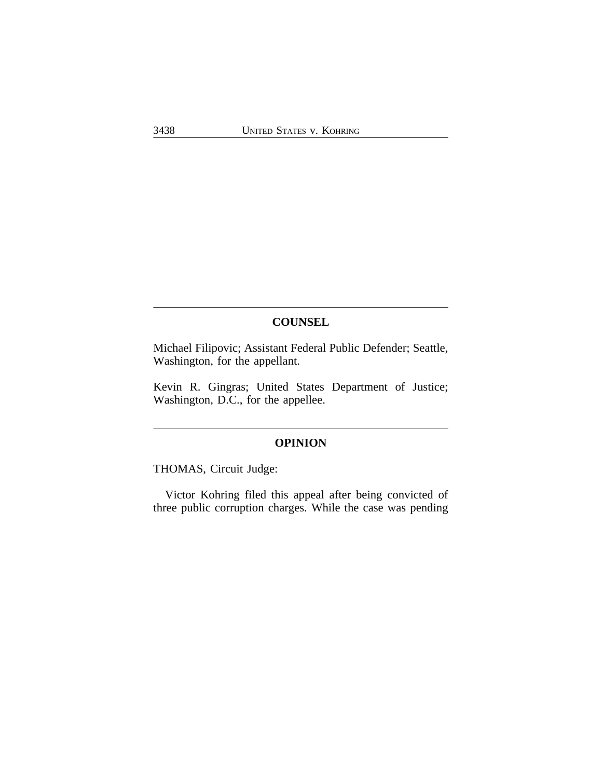# **COUNSEL**

Michael Filipovic; Assistant Federal Public Defender; Seattle, Washington, for the appellant.

Kevin R. Gingras; United States Department of Justice; Washington, D.C., for the appellee.

## **OPINION**

THOMAS, Circuit Judge:

Victor Kohring filed this appeal after being convicted of three public corruption charges. While the case was pending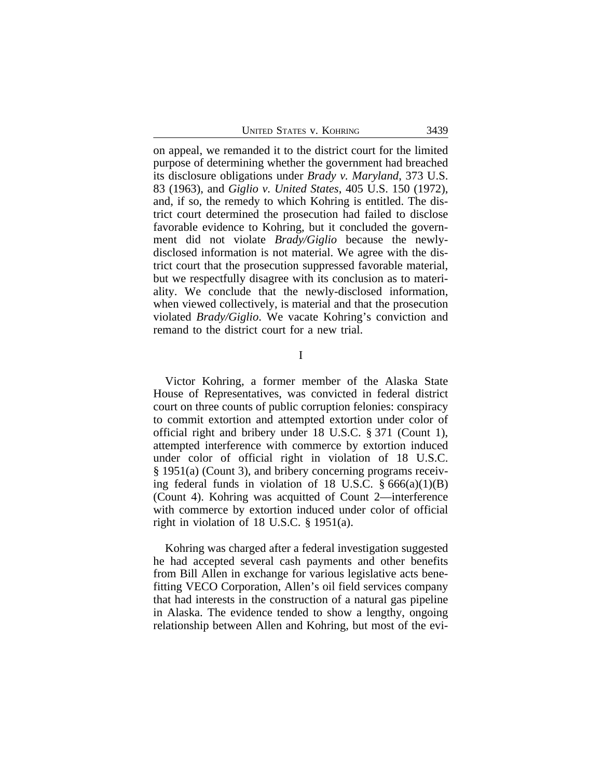UNITED STATES V. KOHRING 3439

on appeal, we remanded it to the district court for the limited purpose of determining whether the government had breached its disclosure obligations under *Brady v. Maryland*, 373 U.S. 83 (1963), and *Giglio v. United States*, 405 U.S. 150 (1972), and, if so, the remedy to which Kohring is entitled. The district court determined the prosecution had failed to disclose favorable evidence to Kohring, but it concluded the government did not violate *Brady/Giglio* because the newlydisclosed information is not material. We agree with the district court that the prosecution suppressed favorable material, but we respectfully disagree with its conclusion as to materiality. We conclude that the newly-disclosed information, when viewed collectively, is material and that the prosecution violated *Brady/Giglio*. We vacate Kohring's conviction and remand to the district court for a new trial.

I

Victor Kohring, a former member of the Alaska State House of Representatives, was convicted in federal district court on three counts of public corruption felonies: conspiracy to commit extortion and attempted extortion under color of official right and bribery under 18 U.S.C. § 371 (Count 1), attempted interference with commerce by extortion induced under color of official right in violation of 18 U.S.C. § 1951(a) (Count 3), and bribery concerning programs receiving federal funds in violation of 18 U.S.C.  $\S 666(a)(1)(B)$ (Count 4). Kohring was acquitted of Count 2—interference with commerce by extortion induced under color of official right in violation of 18 U.S.C. § 1951(a).

Kohring was charged after a federal investigation suggested he had accepted several cash payments and other benefits from Bill Allen in exchange for various legislative acts benefitting VECO Corporation, Allen's oil field services company that had interests in the construction of a natural gas pipeline in Alaska. The evidence tended to show a lengthy, ongoing relationship between Allen and Kohring, but most of the evi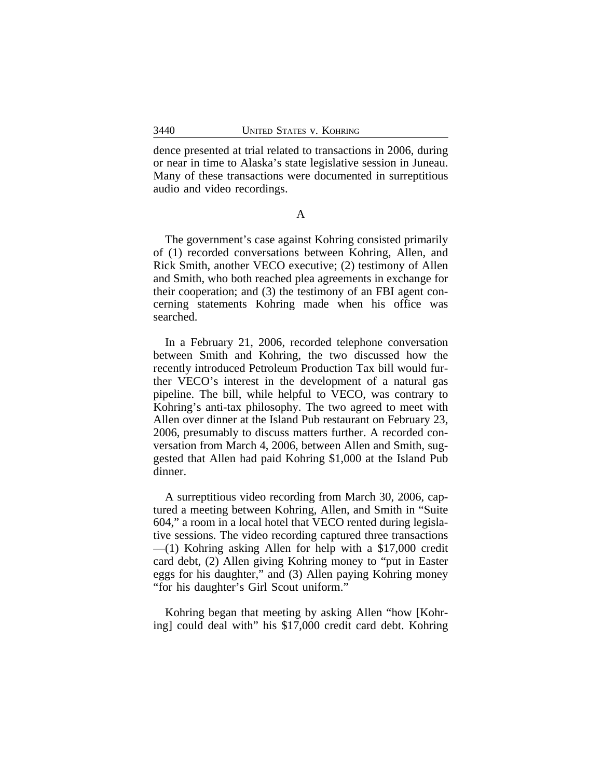dence presented at trial related to transactions in 2006, during or near in time to Alaska's state legislative session in Juneau. Many of these transactions were documented in surreptitious audio and video recordings.

A

The government's case against Kohring consisted primarily of (1) recorded conversations between Kohring, Allen, and Rick Smith, another VECO executive; (2) testimony of Allen and Smith, who both reached plea agreements in exchange for their cooperation; and (3) the testimony of an FBI agent concerning statements Kohring made when his office was searched.

In a February 21, 2006, recorded telephone conversation between Smith and Kohring, the two discussed how the recently introduced Petroleum Production Tax bill would further VECO's interest in the development of a natural gas pipeline. The bill, while helpful to VECO, was contrary to Kohring's anti-tax philosophy. The two agreed to meet with Allen over dinner at the Island Pub restaurant on February 23, 2006, presumably to discuss matters further. A recorded conversation from March 4, 2006, between Allen and Smith, suggested that Allen had paid Kohring \$1,000 at the Island Pub dinner.

A surreptitious video recording from March 30, 2006, captured a meeting between Kohring, Allen, and Smith in "Suite 604," a room in a local hotel that VECO rented during legislative sessions. The video recording captured three transactions  $-(1)$  Kohring asking Allen for help with a \$17,000 credit card debt, (2) Allen giving Kohring money to "put in Easter eggs for his daughter," and (3) Allen paying Kohring money "for his daughter's Girl Scout uniform."

Kohring began that meeting by asking Allen "how [Kohring] could deal with" his \$17,000 credit card debt. Kohring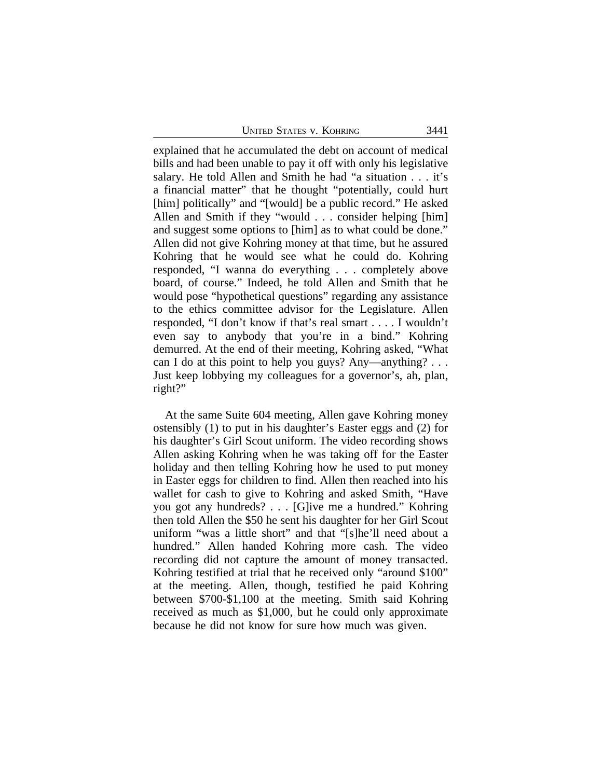UNITED STATES V. KOHRING 3441

explained that he accumulated the debt on account of medical bills and had been unable to pay it off with only his legislative salary. He told Allen and Smith he had "a situation . . . it's a financial matter" that he thought "potentially, could hurt [him] politically" and "[would] be a public record." He asked Allen and Smith if they "would . . . consider helping [him] and suggest some options to [him] as to what could be done." Allen did not give Kohring money at that time, but he assured Kohring that he would see what he could do. Kohring responded, "I wanna do everything . . . completely above board, of course." Indeed, he told Allen and Smith that he would pose "hypothetical questions" regarding any assistance to the ethics committee advisor for the Legislature. Allen responded, "I don't know if that's real smart . . . . I wouldn't even say to anybody that you're in a bind." Kohring demurred. At the end of their meeting, Kohring asked, "What can I do at this point to help you guys? Any—anything? . . . Just keep lobbying my colleagues for a governor's, ah, plan, right?"

At the same Suite 604 meeting, Allen gave Kohring money ostensibly (1) to put in his daughter's Easter eggs and (2) for his daughter's Girl Scout uniform. The video recording shows Allen asking Kohring when he was taking off for the Easter holiday and then telling Kohring how he used to put money in Easter eggs for children to find. Allen then reached into his wallet for cash to give to Kohring and asked Smith, "Have you got any hundreds? . . . [G]ive me a hundred." Kohring then told Allen the \$50 he sent his daughter for her Girl Scout uniform "was a little short" and that "[s]he'll need about a hundred." Allen handed Kohring more cash. The video recording did not capture the amount of money transacted. Kohring testified at trial that he received only "around \$100" at the meeting. Allen, though, testified he paid Kohring between \$700-\$1,100 at the meeting. Smith said Kohring received as much as \$1,000, but he could only approximate because he did not know for sure how much was given.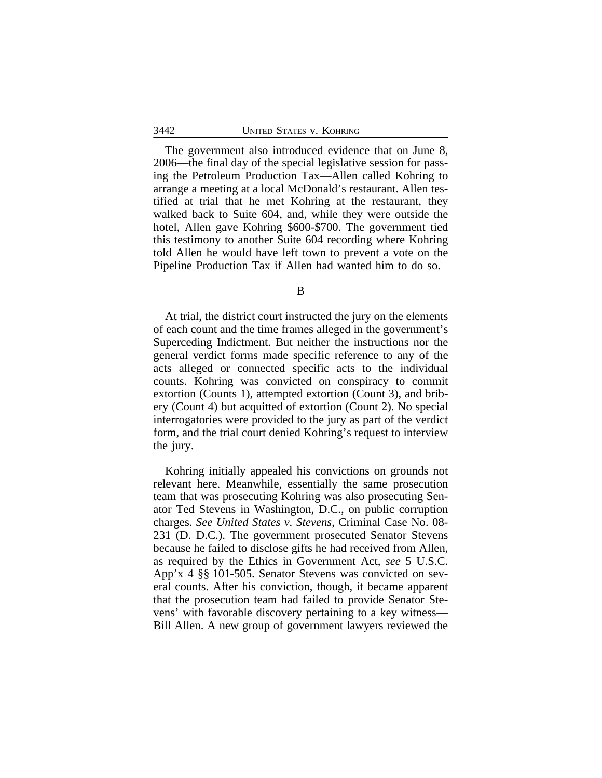The government also introduced evidence that on June 8, 2006—the final day of the special legislative session for passing the Petroleum Production Tax—Allen called Kohring to arrange a meeting at a local McDonald's restaurant. Allen testified at trial that he met Kohring at the restaurant, they walked back to Suite 604, and, while they were outside the hotel, Allen gave Kohring \$600-\$700. The government tied this testimony to another Suite 604 recording where Kohring told Allen he would have left town to prevent a vote on the Pipeline Production Tax if Allen had wanted him to do so.

B

At trial, the district court instructed the jury on the elements of each count and the time frames alleged in the government's Superceding Indictment. But neither the instructions nor the general verdict forms made specific reference to any of the acts alleged or connected specific acts to the individual counts. Kohring was convicted on conspiracy to commit extortion (Counts 1), attempted extortion (Count 3), and bribery (Count 4) but acquitted of extortion (Count 2). No special interrogatories were provided to the jury as part of the verdict form, and the trial court denied Kohring's request to interview the jury.

Kohring initially appealed his convictions on grounds not relevant here. Meanwhile, essentially the same prosecution team that was prosecuting Kohring was also prosecuting Senator Ted Stevens in Washington, D.C., on public corruption charges. *See United States v. Stevens*, Criminal Case No. 08- 231 (D. D.C.). The government prosecuted Senator Stevens because he failed to disclose gifts he had received from Allen, as required by the Ethics in Government Act, *see* 5 U.S.C. App'x 4 §§ 101-505. Senator Stevens was convicted on several counts. After his conviction, though, it became apparent that the prosecution team had failed to provide Senator Stevens' with favorable discovery pertaining to a key witness— Bill Allen. A new group of government lawyers reviewed the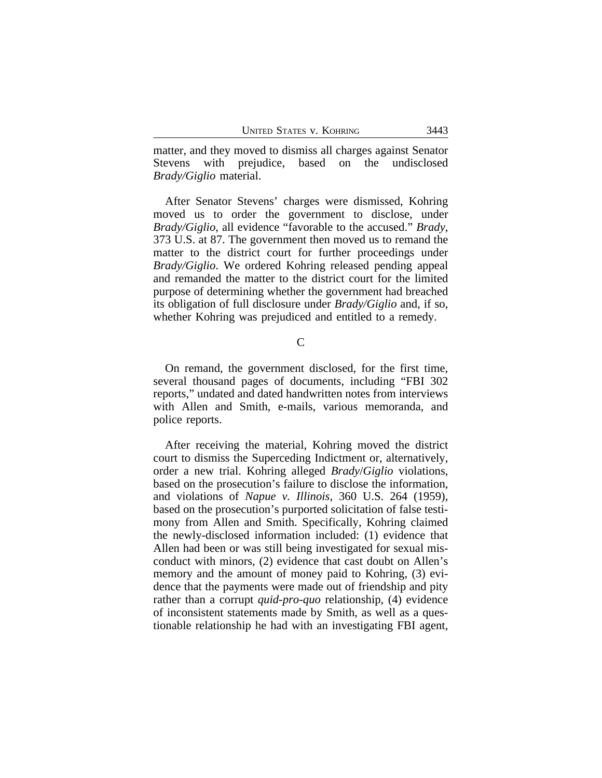matter, and they moved to dismiss all charges against Senator Stevens with prejudice, based on the undisclosed *Brady/Giglio* material.

After Senator Stevens' charges were dismissed, Kohring moved us to order the government to disclose, under *Brady/Giglio*, all evidence "favorable to the accused." *Brady*, 373 U.S. at 87. The government then moved us to remand the matter to the district court for further proceedings under *Brady/Giglio*. We ordered Kohring released pending appeal and remanded the matter to the district court for the limited purpose of determining whether the government had breached its obligation of full disclosure under *Brady/Giglio* and, if so, whether Kohring was prejudiced and entitled to a remedy.

 $\mathsf{C}$ 

On remand, the government disclosed, for the first time, several thousand pages of documents, including "FBI 302 reports," undated and dated handwritten notes from interviews with Allen and Smith, e-mails, various memoranda, and police reports.

After receiving the material, Kohring moved the district court to dismiss the Superceding Indictment or, alternatively, order a new trial. Kohring alleged *Brady*/*Giglio* violations, based on the prosecution's failure to disclose the information, and violations of *Napue v. Illinois*, 360 U.S. 264 (1959), based on the prosecution's purported solicitation of false testimony from Allen and Smith. Specifically, Kohring claimed the newly-disclosed information included: (1) evidence that Allen had been or was still being investigated for sexual misconduct with minors, (2) evidence that cast doubt on Allen's memory and the amount of money paid to Kohring, (3) evidence that the payments were made out of friendship and pity rather than a corrupt *quid-pro-quo* relationship, (4) evidence of inconsistent statements made by Smith, as well as a questionable relationship he had with an investigating FBI agent,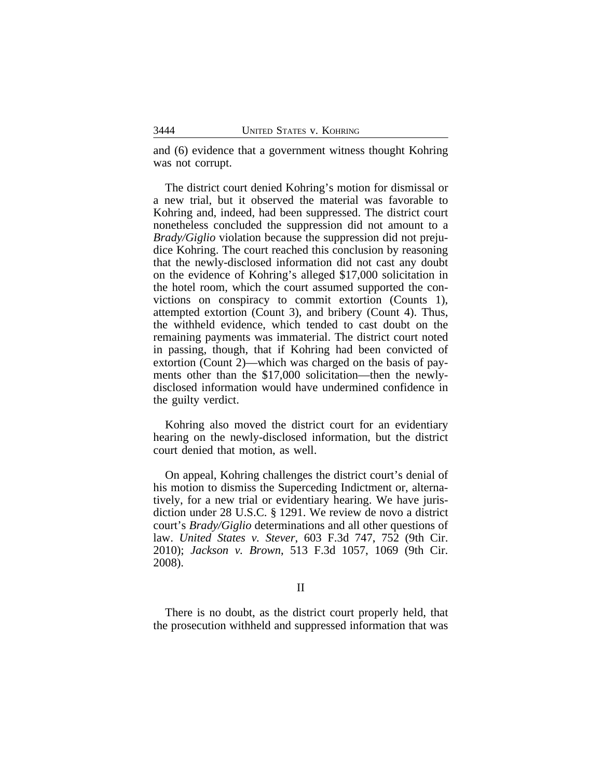and (6) evidence that a government witness thought Kohring was not corrupt.

The district court denied Kohring's motion for dismissal or a new trial, but it observed the material was favorable to Kohring and, indeed, had been suppressed. The district court nonetheless concluded the suppression did not amount to a *Brady/Giglio* violation because the suppression did not prejudice Kohring. The court reached this conclusion by reasoning that the newly-disclosed information did not cast any doubt on the evidence of Kohring's alleged \$17,000 solicitation in the hotel room, which the court assumed supported the convictions on conspiracy to commit extortion (Counts 1), attempted extortion (Count 3), and bribery (Count 4). Thus, the withheld evidence, which tended to cast doubt on the remaining payments was immaterial. The district court noted in passing, though, that if Kohring had been convicted of extortion (Count 2)—which was charged on the basis of payments other than the \$17,000 solicitation—then the newlydisclosed information would have undermined confidence in the guilty verdict.

Kohring also moved the district court for an evidentiary hearing on the newly-disclosed information, but the district court denied that motion, as well.

On appeal, Kohring challenges the district court's denial of his motion to dismiss the Superceding Indictment or, alternatively, for a new trial or evidentiary hearing. We have jurisdiction under 28 U.S.C. § 1291. We review de novo a district court's *Brady/Giglio* determinations and all other questions of law. *United States v. Stever*, 603 F.3d 747, 752 (9th Cir. 2010); *Jackson v. Brown*, 513 F.3d 1057, 1069 (9th Cir. 2008).

#### II

There is no doubt, as the district court properly held, that the prosecution withheld and suppressed information that was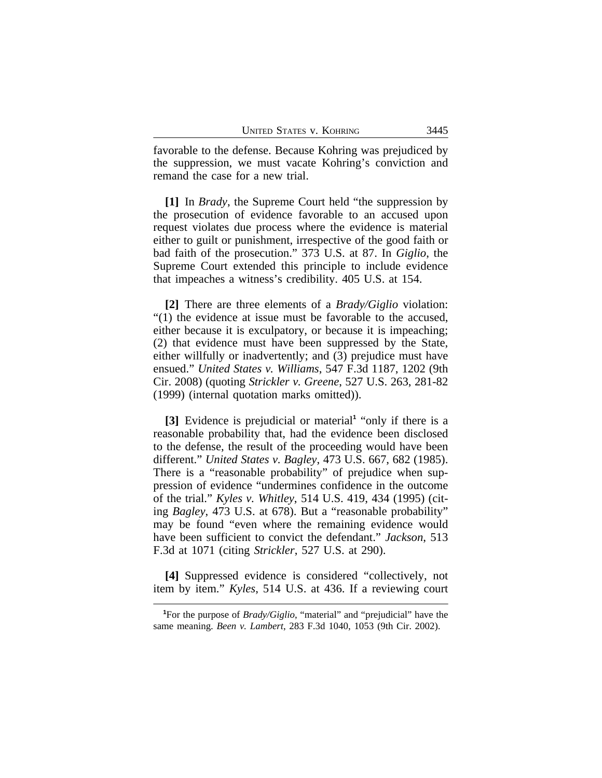favorable to the defense. Because Kohring was prejudiced by the suppression, we must vacate Kohring's conviction and remand the case for a new trial.

**[1]** In *Brady*, the Supreme Court held "the suppression by the prosecution of evidence favorable to an accused upon request violates due process where the evidence is material either to guilt or punishment, irrespective of the good faith or bad faith of the prosecution." 373 U.S. at 87. In *Giglio*, the Supreme Court extended this principle to include evidence that impeaches a witness's credibility. 405 U.S. at 154.

**[2]** There are three elements of a *Brady/Giglio* violation: "(1) the evidence at issue must be favorable to the accused, either because it is exculpatory, or because it is impeaching; (2) that evidence must have been suppressed by the State, either willfully or inadvertently; and (3) prejudice must have ensued." *United States v. Williams*, 547 F.3d 1187, 1202 (9th Cir. 2008) (quoting *Strickler v. Greene*, 527 U.S. 263, 281-82 (1999) (internal quotation marks omitted)).

**[3]** Evidence is prejudicial or material**<sup>1</sup>** "only if there is a reasonable probability that, had the evidence been disclosed to the defense, the result of the proceeding would have been different." *United States v. Bagley*, 473 U.S. 667, 682 (1985). There is a "reasonable probability" of prejudice when suppression of evidence "undermines confidence in the outcome of the trial." *Kyles v. Whitley*, 514 U.S. 419, 434 (1995) (citing *Bagley*, 473 U.S. at 678). But a "reasonable probability" may be found "even where the remaining evidence would have been sufficient to convict the defendant." *Jackson*, 513 F.3d at 1071 (citing *Strickler*, 527 U.S. at 290).

**[4]** Suppressed evidence is considered "collectively, not item by item." *Kyles*, 514 U.S. at 436. If a reviewing court

**<sup>1</sup>**For the purpose of *Brady/Giglio*, "material" and "prejudicial" have the same meaning. *Been v. Lambert*, 283 F.3d 1040, 1053 (9th Cir. 2002).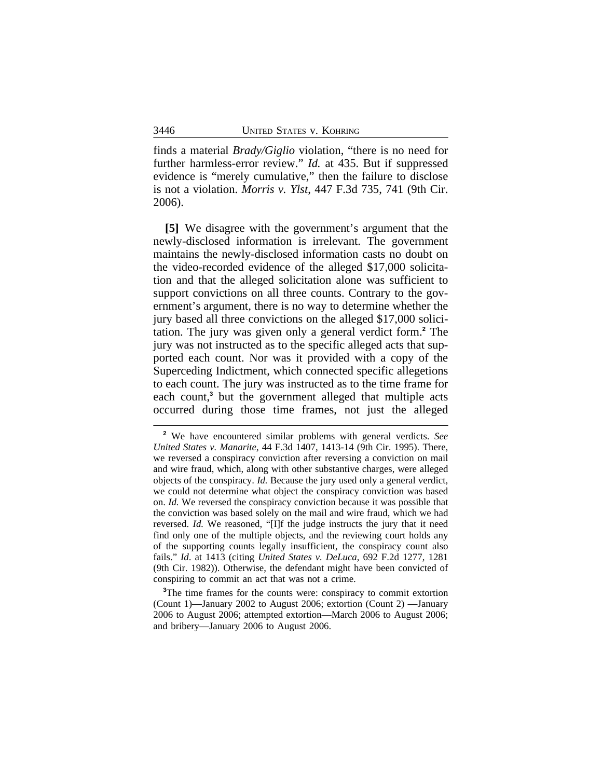finds a material *Brady/Giglio* violation, "there is no need for further harmless-error review." *Id.* at 435. But if suppressed evidence is "merely cumulative," then the failure to disclose is not a violation. *Morris v. Ylst*, 447 F.3d 735, 741 (9th Cir. 2006).

**[5]** We disagree with the government's argument that the newly-disclosed information is irrelevant. The government maintains the newly-disclosed information casts no doubt on the video-recorded evidence of the alleged \$17,000 solicitation and that the alleged solicitation alone was sufficient to support convictions on all three counts. Contrary to the government's argument, there is no way to determine whether the jury based all three convictions on the alleged \$17,000 solicitation. The jury was given only a general verdict form.**<sup>2</sup>** The jury was not instructed as to the specific alleged acts that supported each count. Nor was it provided with a copy of the Superceding Indictment, which connected specific allegetions to each count. The jury was instructed as to the time frame for each count,**<sup>3</sup>** but the government alleged that multiple acts occurred during those time frames, not just the alleged

**<sup>3</sup>**The time frames for the counts were: conspiracy to commit extortion (Count 1)—January 2002 to August 2006; extortion (Count 2) —January 2006 to August 2006; attempted extortion—March 2006 to August 2006; and bribery—January 2006 to August 2006.

**<sup>2</sup>** We have encountered similar problems with general verdicts. *See United States v. Manarite*, 44 F.3d 1407, 1413-14 (9th Cir. 1995). There, we reversed a conspiracy conviction after reversing a conviction on mail and wire fraud, which, along with other substantive charges, were alleged objects of the conspiracy. *Id.* Because the jury used only a general verdict, we could not determine what object the conspiracy conviction was based on. *Id.* We reversed the conspiracy conviction because it was possible that the conviction was based solely on the mail and wire fraud, which we had reversed. *Id.* We reasoned, "[I]f the judge instructs the jury that it need find only one of the multiple objects, and the reviewing court holds any of the supporting counts legally insufficient, the conspiracy count also fails." *Id*. at 1413 (citing *United States v. DeLuca*, 692 F.2d 1277, 1281 (9th Cir. 1982)). Otherwise, the defendant might have been convicted of conspiring to commit an act that was not a crime.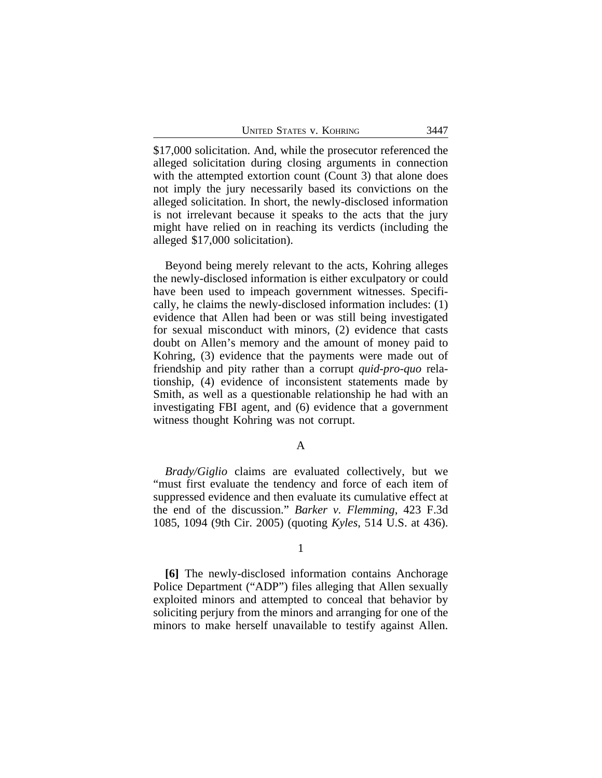UNITED STATES V. KOHRING 3447

\$17,000 solicitation. And, while the prosecutor referenced the alleged solicitation during closing arguments in connection with the attempted extortion count (Count 3) that alone does not imply the jury necessarily based its convictions on the alleged solicitation. In short, the newly-disclosed information is not irrelevant because it speaks to the acts that the jury might have relied on in reaching its verdicts (including the alleged \$17,000 solicitation).

Beyond being merely relevant to the acts, Kohring alleges the newly-disclosed information is either exculpatory or could have been used to impeach government witnesses. Specifically, he claims the newly-disclosed information includes: (1) evidence that Allen had been or was still being investigated for sexual misconduct with minors, (2) evidence that casts doubt on Allen's memory and the amount of money paid to Kohring, (3) evidence that the payments were made out of friendship and pity rather than a corrupt *quid-pro-quo* relationship, (4) evidence of inconsistent statements made by Smith, as well as a questionable relationship he had with an investigating FBI agent, and (6) evidence that a government witness thought Kohring was not corrupt.

#### A

*Brady/Giglio* claims are evaluated collectively, but we "must first evaluate the tendency and force of each item of suppressed evidence and then evaluate its cumulative effect at the end of the discussion." *Barker v. Flemming*, 423 F.3d 1085, 1094 (9th Cir. 2005) (quoting *Kyles*, 514 U.S. at 436).

#### 1

**[6]** The newly-disclosed information contains Anchorage Police Department ("ADP") files alleging that Allen sexually exploited minors and attempted to conceal that behavior by soliciting perjury from the minors and arranging for one of the minors to make herself unavailable to testify against Allen.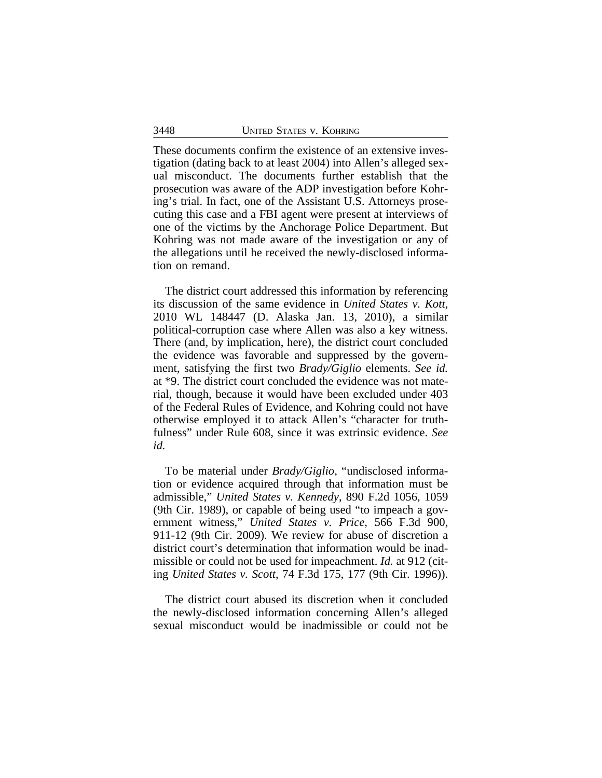These documents confirm the existence of an extensive investigation (dating back to at least 2004) into Allen's alleged sexual misconduct. The documents further establish that the prosecution was aware of the ADP investigation before Kohring's trial. In fact, one of the Assistant U.S. Attorneys prosecuting this case and a FBI agent were present at interviews of one of the victims by the Anchorage Police Department. But Kohring was not made aware of the investigation or any of the allegations until he received the newly-disclosed information on remand.

The district court addressed this information by referencing its discussion of the same evidence in *United States v. Kott*, 2010 WL 148447 (D. Alaska Jan. 13, 2010), a similar political-corruption case where Allen was also a key witness. There (and, by implication, here), the district court concluded the evidence was favorable and suppressed by the government, satisfying the first two *Brady/Giglio* elements. *See id.* at \*9. The district court concluded the evidence was not material, though, because it would have been excluded under 403 of the Federal Rules of Evidence, and Kohring could not have otherwise employed it to attack Allen's "character for truthfulness" under Rule 608, since it was extrinsic evidence. *See id.*

To be material under *Brady/Giglio*, "undisclosed information or evidence acquired through that information must be admissible," *United States v. Kennedy*, 890 F.2d 1056, 1059 (9th Cir. 1989), or capable of being used "to impeach a government witness," *United States v. Price*, 566 F.3d 900, 911-12 (9th Cir. 2009). We review for abuse of discretion a district court's determination that information would be inadmissible or could not be used for impeachment. *Id.* at 912 (citing *United States v. Scott*, 74 F.3d 175, 177 (9th Cir. 1996)).

The district court abused its discretion when it concluded the newly-disclosed information concerning Allen's alleged sexual misconduct would be inadmissible or could not be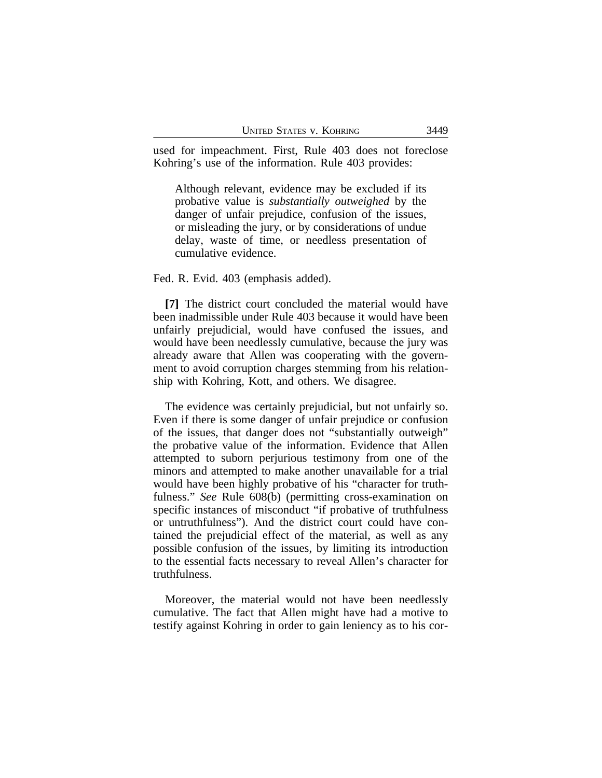used for impeachment. First, Rule 403 does not foreclose Kohring's use of the information. Rule 403 provides:

Although relevant, evidence may be excluded if its probative value is *substantially outweighed* by the danger of unfair prejudice, confusion of the issues, or misleading the jury, or by considerations of undue delay, waste of time, or needless presentation of cumulative evidence.

Fed. R. Evid. 403 (emphasis added).

**[7]** The district court concluded the material would have been inadmissible under Rule 403 because it would have been unfairly prejudicial, would have confused the issues, and would have been needlessly cumulative, because the jury was already aware that Allen was cooperating with the government to avoid corruption charges stemming from his relationship with Kohring, Kott, and others. We disagree.

The evidence was certainly prejudicial, but not unfairly so. Even if there is some danger of unfair prejudice or confusion of the issues, that danger does not "substantially outweigh" the probative value of the information. Evidence that Allen attempted to suborn perjurious testimony from one of the minors and attempted to make another unavailable for a trial would have been highly probative of his "character for truthfulness." *See* Rule 608(b) (permitting cross-examination on specific instances of misconduct "if probative of truthfulness or untruthfulness"). And the district court could have contained the prejudicial effect of the material, as well as any possible confusion of the issues, by limiting its introduction to the essential facts necessary to reveal Allen's character for truthfulness.

Moreover, the material would not have been needlessly cumulative. The fact that Allen might have had a motive to testify against Kohring in order to gain leniency as to his cor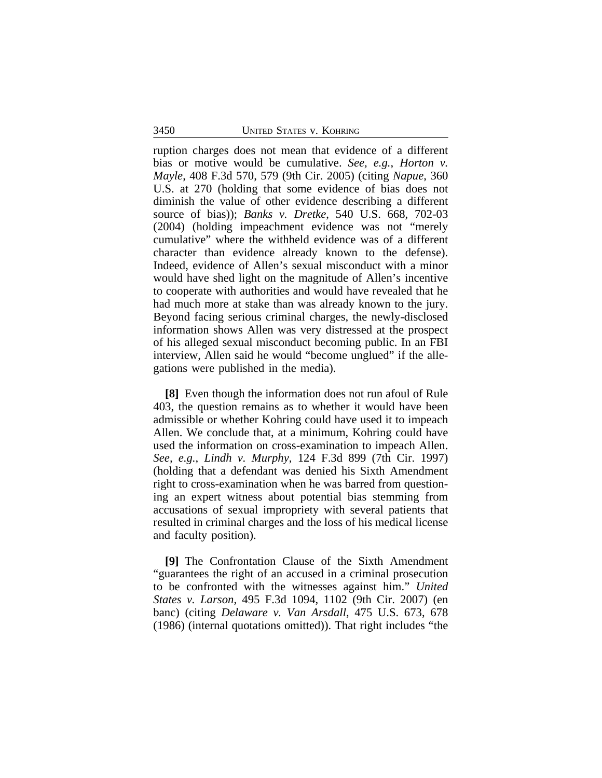ruption charges does not mean that evidence of a different bias or motive would be cumulative. *See, e.g.*, *Horton v. Mayle*, 408 F.3d 570, 579 (9th Cir. 2005) (citing *Napue*, 360 U.S. at 270 (holding that some evidence of bias does not diminish the value of other evidence describing a different source of bias)); *Banks v. Dretke*, 540 U.S. 668, 702-03 (2004) (holding impeachment evidence was not "merely cumulative" where the withheld evidence was of a different character than evidence already known to the defense). Indeed, evidence of Allen's sexual misconduct with a minor would have shed light on the magnitude of Allen's incentive to cooperate with authorities and would have revealed that he had much more at stake than was already known to the jury. Beyond facing serious criminal charges, the newly-disclosed information shows Allen was very distressed at the prospect of his alleged sexual misconduct becoming public. In an FBI interview, Allen said he would "become unglued" if the allegations were published in the media).

**[8]** Even though the information does not run afoul of Rule 403, the question remains as to whether it would have been admissible or whether Kohring could have used it to impeach Allen. We conclude that, at a minimum, Kohring could have used the information on cross-examination to impeach Allen. *See, e.g.*, *Lindh v. Murphy*, 124 F.3d 899 (7th Cir. 1997) (holding that a defendant was denied his Sixth Amendment right to cross-examination when he was barred from questioning an expert witness about potential bias stemming from accusations of sexual impropriety with several patients that resulted in criminal charges and the loss of his medical license and faculty position).

**[9]** The Confrontation Clause of the Sixth Amendment "guarantees the right of an accused in a criminal prosecution to be confronted with the witnesses against him." *United States v. Larson*, 495 F.3d 1094, 1102 (9th Cir. 2007) (en banc) (citing *Delaware v. Van Arsdall*, 475 U.S. 673, 678 (1986) (internal quotations omitted)). That right includes "the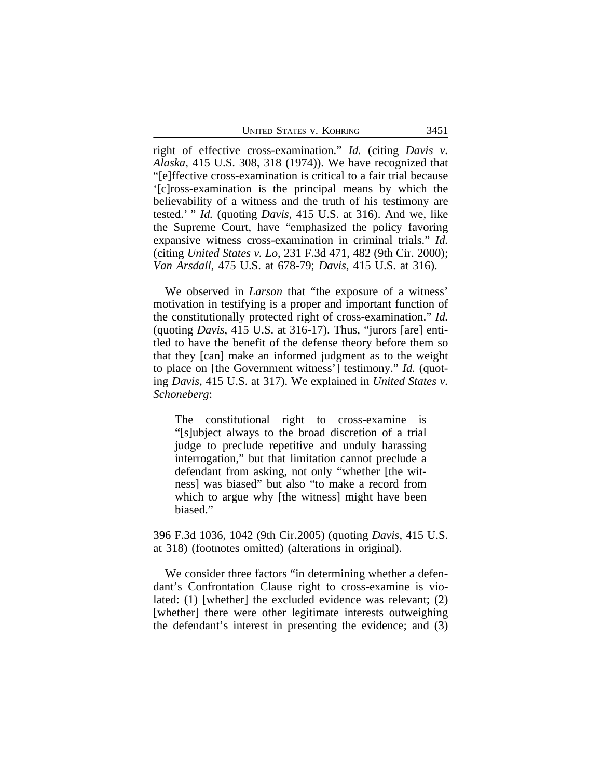UNITED STATES V. KOHRING 3451

right of effective cross-examination." *Id.* (citing *Davis v. Alaska*, 415 U.S. 308, 318 (1974)). We have recognized that "[e]ffective cross-examination is critical to a fair trial because '[c]ross-examination is the principal means by which the believability of a witness and the truth of his testimony are tested.' " *Id.* (quoting *Davis*, 415 U.S. at 316). And we, like the Supreme Court, have "emphasized the policy favoring expansive witness cross-examination in criminal trials." *Id.* (citing *United States v. Lo*, 231 F.3d 471, 482 (9th Cir. 2000); *Van Arsdall*, 475 U.S. at 678-79; *Davis*, 415 U.S. at 316).

We observed in *Larson* that "the exposure of a witness' motivation in testifying is a proper and important function of the constitutionally protected right of cross-examination." *Id.* (quoting *Davis*, 415 U.S. at 316-17). Thus, "jurors [are] entitled to have the benefit of the defense theory before them so that they [can] make an informed judgment as to the weight to place on [the Government witness'] testimony." *Id.* (quoting *Davis*, 415 U.S. at 317). We explained in *United States v. Schoneberg*:

The constitutional right to cross-examine is "[s]ubject always to the broad discretion of a trial judge to preclude repetitive and unduly harassing interrogation," but that limitation cannot preclude a defendant from asking, not only "whether [the witness] was biased" but also "to make a record from which to argue why [the witness] might have been biased."

396 F.3d 1036, 1042 (9th Cir.2005) (quoting *Davis*, 415 U.S. at 318) (footnotes omitted) (alterations in original).

We consider three factors "in determining whether a defendant's Confrontation Clause right to cross-examine is violated: (1) [whether] the excluded evidence was relevant; (2) [whether] there were other legitimate interests outweighing the defendant's interest in presenting the evidence; and (3)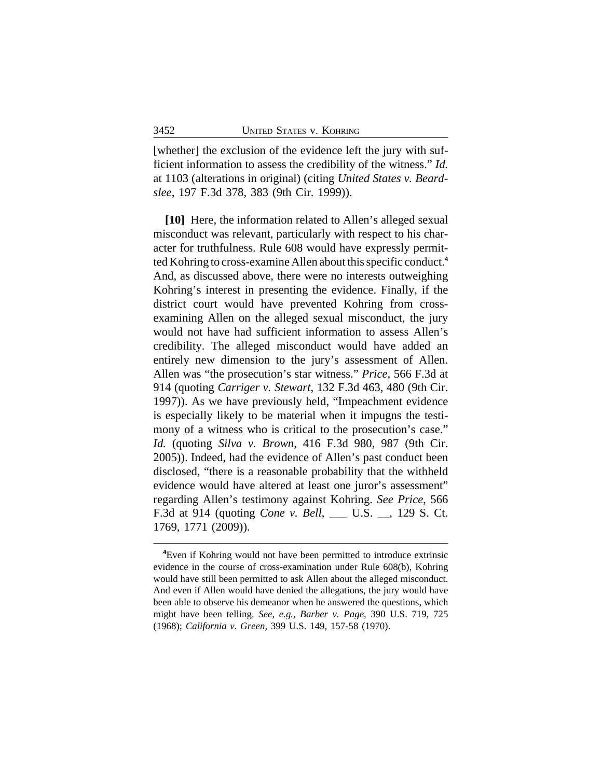[whether] the exclusion of the evidence left the jury with sufficient information to assess the credibility of the witness." *Id.* at 1103 (alterations in original) (citing *United States v. Beardslee*, 197 F.3d 378, 383 (9th Cir. 1999)).

**[10]** Here, the information related to Allen's alleged sexual misconduct was relevant, particularly with respect to his character for truthfulness. Rule 608 would have expressly permitted Kohring to cross-examine Allen about this specific conduct.**<sup>4</sup>** And, as discussed above, there were no interests outweighing Kohring's interest in presenting the evidence. Finally, if the district court would have prevented Kohring from crossexamining Allen on the alleged sexual misconduct, the jury would not have had sufficient information to assess Allen's credibility. The alleged misconduct would have added an entirely new dimension to the jury's assessment of Allen. Allen was "the prosecution's star witness." *Price*, 566 F.3d at 914 (quoting *Carriger v. Stewart*, 132 F.3d 463, 480 (9th Cir. 1997)). As we have previously held, "Impeachment evidence is especially likely to be material when it impugns the testimony of a witness who is critical to the prosecution's case." *Id.* (quoting *Silva v. Brown*, 416 F.3d 980, 987 (9th Cir. 2005)). Indeed, had the evidence of Allen's past conduct been disclosed, "there is a reasonable probability that the withheld evidence would have altered at least one juror's assessment" regarding Allen's testimony against Kohring. *See Price*, 566 F.3d at 914 (quoting *Cone v. Bell*, \_\_\_ U.S. \_\_, 129 S. Ct. 1769, 1771 (2009)).

**<sup>4</sup>**Even if Kohring would not have been permitted to introduce extrinsic evidence in the course of cross-examination under Rule 608(b), Kohring would have still been permitted to ask Allen about the alleged misconduct. And even if Allen would have denied the allegations, the jury would have been able to observe his demeanor when he answered the questions, which might have been telling. *See, e.g.*, *Barber v. Page*, 390 U.S. 719, 725 (1968); *California v. Green*, 399 U.S. 149, 157-58 (1970).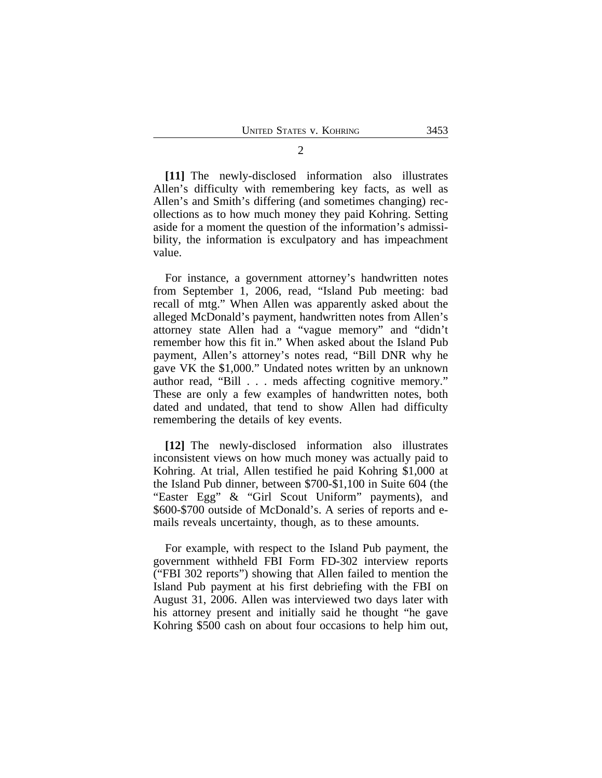**[11]** The newly-disclosed information also illustrates Allen's difficulty with remembering key facts, as well as Allen's and Smith's differing (and sometimes changing) recollections as to how much money they paid Kohring. Setting aside for a moment the question of the information's admissibility, the information is exculpatory and has impeachment value.

For instance, a government attorney's handwritten notes from September 1, 2006, read, "Island Pub meeting: bad recall of mtg." When Allen was apparently asked about the alleged McDonald's payment, handwritten notes from Allen's attorney state Allen had a "vague memory" and "didn't remember how this fit in." When asked about the Island Pub payment, Allen's attorney's notes read, "Bill DNR why he gave VK the \$1,000." Undated notes written by an unknown author read, "Bill . . . meds affecting cognitive memory." These are only a few examples of handwritten notes, both dated and undated, that tend to show Allen had difficulty remembering the details of key events.

**[12]** The newly-disclosed information also illustrates inconsistent views on how much money was actually paid to Kohring. At trial, Allen testified he paid Kohring \$1,000 at the Island Pub dinner, between \$700-\$1,100 in Suite 604 (the "Easter Egg" & "Girl Scout Uniform" payments), and \$600-\$700 outside of McDonald's. A series of reports and emails reveals uncertainty, though, as to these amounts.

For example, with respect to the Island Pub payment, the government withheld FBI Form FD-302 interview reports ("FBI 302 reports") showing that Allen failed to mention the Island Pub payment at his first debriefing with the FBI on August 31, 2006. Allen was interviewed two days later with his attorney present and initially said he thought "he gave Kohring \$500 cash on about four occasions to help him out,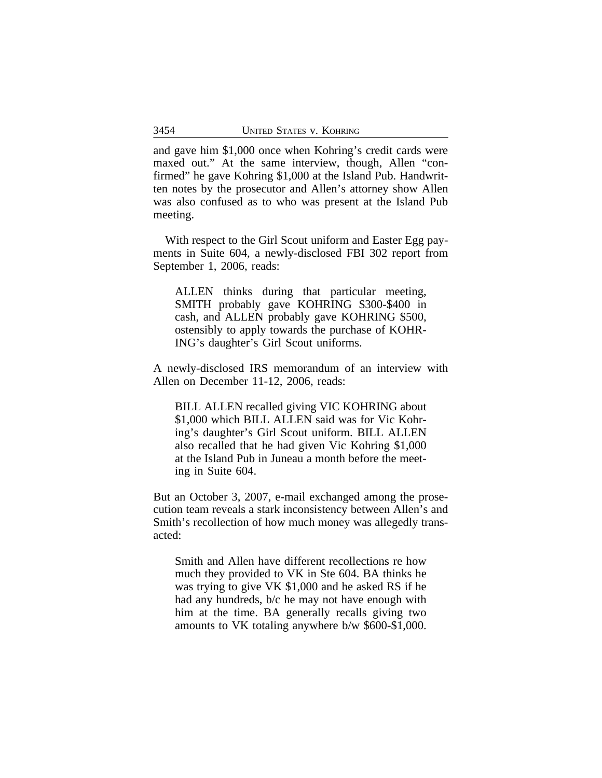and gave him \$1,000 once when Kohring's credit cards were maxed out." At the same interview, though, Allen "confirmed" he gave Kohring \$1,000 at the Island Pub. Handwritten notes by the prosecutor and Allen's attorney show Allen was also confused as to who was present at the Island Pub meeting.

With respect to the Girl Scout uniform and Easter Egg payments in Suite 604, a newly-disclosed FBI 302 report from September 1, 2006, reads:

ALLEN thinks during that particular meeting, SMITH probably gave KOHRING \$300-\$400 in cash, and ALLEN probably gave KOHRING \$500, ostensibly to apply towards the purchase of KOHR-ING's daughter's Girl Scout uniforms.

A newly-disclosed IRS memorandum of an interview with Allen on December 11-12, 2006, reads:

BILL ALLEN recalled giving VIC KOHRING about \$1,000 which BILL ALLEN said was for Vic Kohring's daughter's Girl Scout uniform. BILL ALLEN also recalled that he had given Vic Kohring \$1,000 at the Island Pub in Juneau a month before the meeting in Suite 604.

But an October 3, 2007, e-mail exchanged among the prosecution team reveals a stark inconsistency between Allen's and Smith's recollection of how much money was allegedly transacted:

Smith and Allen have different recollections re how much they provided to VK in Ste 604. BA thinks he was trying to give VK \$1,000 and he asked RS if he had any hundreds, b/c he may not have enough with him at the time. BA generally recalls giving two amounts to VK totaling anywhere b/w \$600-\$1,000.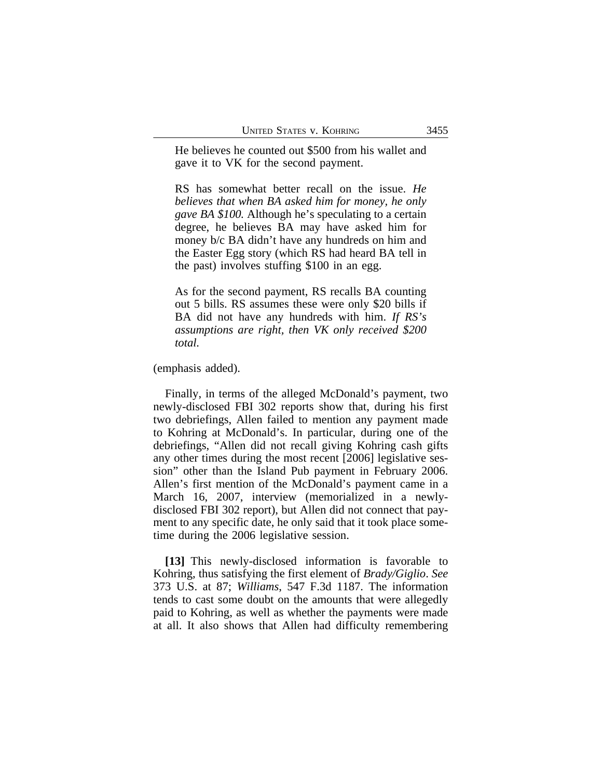He believes he counted out \$500 from his wallet and gave it to VK for the second payment.

RS has somewhat better recall on the issue. *He believes that when BA asked him for money, he only gave BA \$100.* Although he's speculating to a certain degree, he believes BA may have asked him for money b/c BA didn't have any hundreds on him and the Easter Egg story (which RS had heard BA tell in the past) involves stuffing \$100 in an egg.

As for the second payment, RS recalls BA counting out 5 bills. RS assumes these were only \$20 bills if BA did not have any hundreds with him. *If RS's assumptions are right, then VK only received \$200 total.* 

(emphasis added).

Finally, in terms of the alleged McDonald's payment, two newly-disclosed FBI 302 reports show that, during his first two debriefings, Allen failed to mention any payment made to Kohring at McDonald's. In particular, during one of the debriefings, "Allen did not recall giving Kohring cash gifts any other times during the most recent [2006] legislative session" other than the Island Pub payment in February 2006. Allen's first mention of the McDonald's payment came in a March 16, 2007, interview (memorialized in a newlydisclosed FBI 302 report), but Allen did not connect that payment to any specific date, he only said that it took place sometime during the 2006 legislative session.

**[13]** This newly-disclosed information is favorable to Kohring, thus satisfying the first element of *Brady/Giglio*. *See* 373 U.S. at 87; *Williams*, 547 F.3d 1187. The information tends to cast some doubt on the amounts that were allegedly paid to Kohring, as well as whether the payments were made at all. It also shows that Allen had difficulty remembering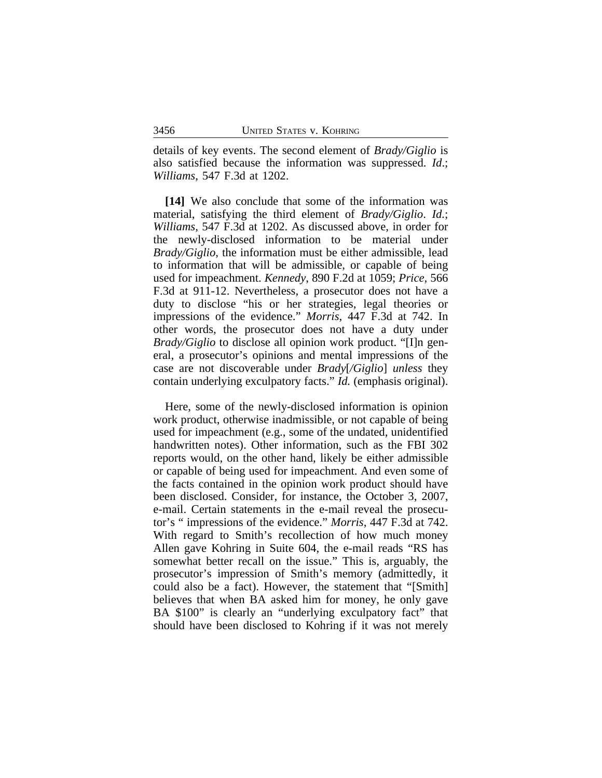details of key events. The second element of *Brady/Giglio* is also satisfied because the information was suppressed. *Id*.; *Williams*, 547 F.3d at 1202.

**[14]** We also conclude that some of the information was material, satisfying the third element of *Brady/Giglio*. *Id.*; *Williams*, 547 F.3d at 1202. As discussed above, in order for the newly-disclosed information to be material under *Brady/Giglio*, the information must be either admissible, lead to information that will be admissible, or capable of being used for impeachment. *Kennedy*, 890 F.2d at 1059; *Price*, 566 F.3d at 911-12. Nevertheless, a prosecutor does not have a duty to disclose "his or her strategies, legal theories or impressions of the evidence." *Morris*, 447 F.3d at 742. In other words, the prosecutor does not have a duty under *Brady/Giglio* to disclose all opinion work product. "[I]n general, a prosecutor's opinions and mental impressions of the case are not discoverable under *Brady*[*/Giglio*] *unless* they contain underlying exculpatory facts." *Id.* (emphasis original).

Here, some of the newly-disclosed information is opinion work product, otherwise inadmissible, or not capable of being used for impeachment (e.g., some of the undated, unidentified handwritten notes). Other information, such as the FBI 302 reports would, on the other hand, likely be either admissible or capable of being used for impeachment. And even some of the facts contained in the opinion work product should have been disclosed. Consider, for instance, the October 3, 2007, e-mail. Certain statements in the e-mail reveal the prosecutor's " impressions of the evidence." *Morris*, 447 F.3d at 742. With regard to Smith's recollection of how much money Allen gave Kohring in Suite 604, the e-mail reads "RS has somewhat better recall on the issue." This is, arguably, the prosecutor's impression of Smith's memory (admittedly, it could also be a fact). However, the statement that "[Smith] believes that when BA asked him for money, he only gave BA \$100" is clearly an "underlying exculpatory fact" that should have been disclosed to Kohring if it was not merely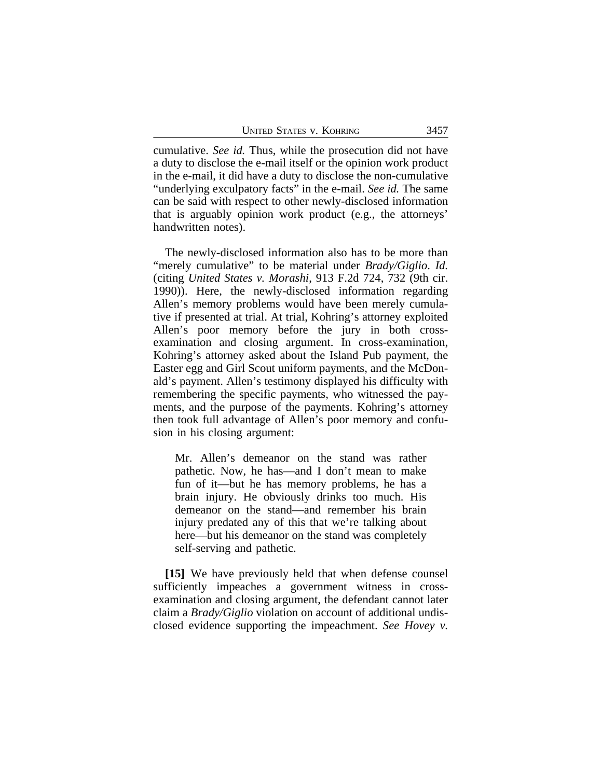UNITED STATES V. KOHRING 3457

cumulative. *See id.* Thus, while the prosecution did not have a duty to disclose the e-mail itself or the opinion work product in the e-mail, it did have a duty to disclose the non-cumulative "underlying exculpatory facts" in the e-mail. *See id.* The same can be said with respect to other newly-disclosed information that is arguably opinion work product (e.g., the attorneys' handwritten notes).

The newly-disclosed information also has to be more than "merely cumulative" to be material under *Brady/Giglio*. *Id.* (citing *United States v. Morashi*, 913 F.2d 724, 732 (9th cir. 1990)). Here, the newly-disclosed information regarding Allen's memory problems would have been merely cumulative if presented at trial. At trial, Kohring's attorney exploited Allen's poor memory before the jury in both crossexamination and closing argument. In cross-examination, Kohring's attorney asked about the Island Pub payment, the Easter egg and Girl Scout uniform payments, and the McDonald's payment. Allen's testimony displayed his difficulty with remembering the specific payments, who witnessed the payments, and the purpose of the payments. Kohring's attorney then took full advantage of Allen's poor memory and confusion in his closing argument:

Mr. Allen's demeanor on the stand was rather pathetic. Now, he has—and I don't mean to make fun of it—but he has memory problems, he has a brain injury. He obviously drinks too much. His demeanor on the stand—and remember his brain injury predated any of this that we're talking about here—but his demeanor on the stand was completely self-serving and pathetic.

**[15]** We have previously held that when defense counsel sufficiently impeaches a government witness in crossexamination and closing argument, the defendant cannot later claim a *Brady/Giglio* violation on account of additional undisclosed evidence supporting the impeachment. *See Hovey v.*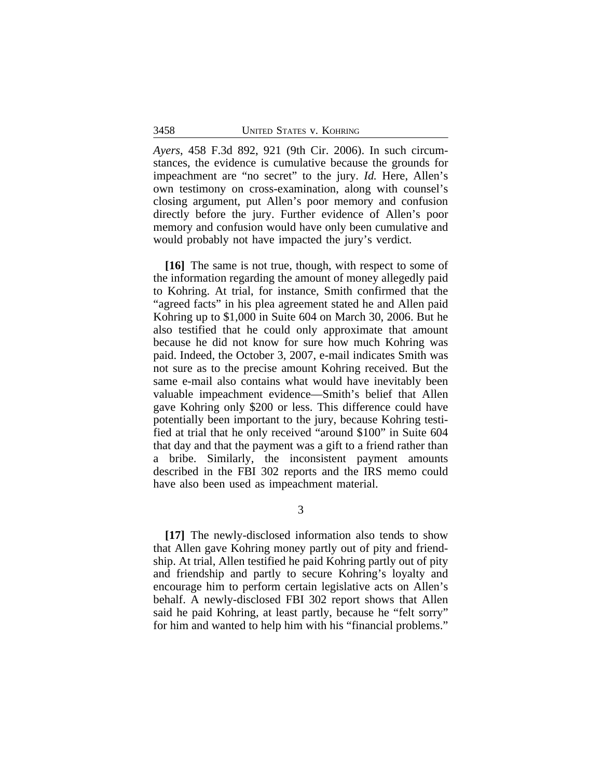*Ayers*, 458 F.3d 892, 921 (9th Cir. 2006). In such circumstances, the evidence is cumulative because the grounds for impeachment are "no secret" to the jury. *Id.* Here, Allen's own testimony on cross-examination, along with counsel's closing argument, put Allen's poor memory and confusion directly before the jury. Further evidence of Allen's poor memory and confusion would have only been cumulative and would probably not have impacted the jury's verdict.

**[16]** The same is not true, though, with respect to some of the information regarding the amount of money allegedly paid to Kohring. At trial, for instance, Smith confirmed that the "agreed facts" in his plea agreement stated he and Allen paid Kohring up to \$1,000 in Suite 604 on March 30, 2006. But he also testified that he could only approximate that amount because he did not know for sure how much Kohring was paid. Indeed, the October 3, 2007, e-mail indicates Smith was not sure as to the precise amount Kohring received. But the same e-mail also contains what would have inevitably been valuable impeachment evidence—Smith's belief that Allen gave Kohring only \$200 or less. This difference could have potentially been important to the jury, because Kohring testified at trial that he only received "around \$100" in Suite 604 that day and that the payment was a gift to a friend rather than a bribe. Similarly, the inconsistent payment amounts described in the FBI 302 reports and the IRS memo could have also been used as impeachment material.

3

**[17]** The newly-disclosed information also tends to show that Allen gave Kohring money partly out of pity and friendship. At trial, Allen testified he paid Kohring partly out of pity and friendship and partly to secure Kohring's loyalty and encourage him to perform certain legislative acts on Allen's behalf. A newly-disclosed FBI 302 report shows that Allen said he paid Kohring, at least partly, because he "felt sorry" for him and wanted to help him with his "financial problems."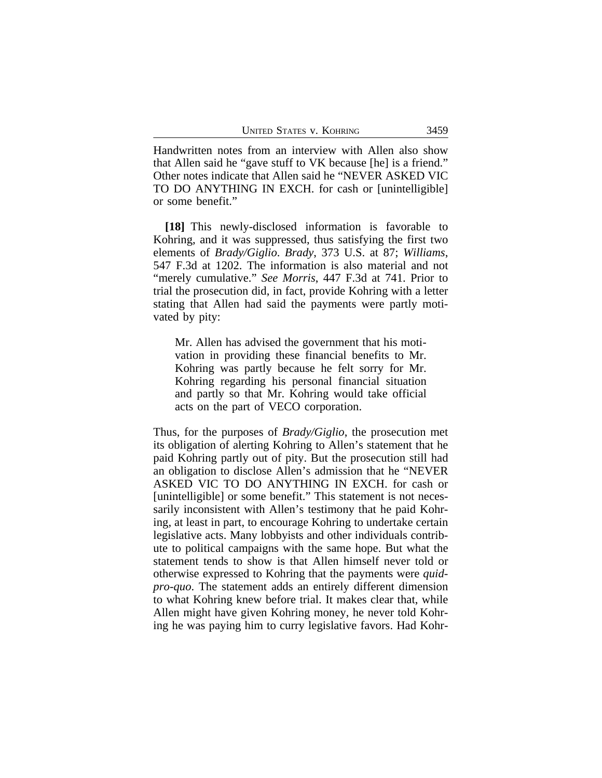Handwritten notes from an interview with Allen also show that Allen said he "gave stuff to VK because [he] is a friend." Other notes indicate that Allen said he "NEVER ASKED VIC TO DO ANYTHING IN EXCH. for cash or [unintelligible] or some benefit."

**[18]** This newly-disclosed information is favorable to Kohring, and it was suppressed, thus satisfying the first two elements of *Brady/Giglio*. *Brady*, 373 U.S. at 87; *Williams*, 547 F.3d at 1202. The information is also material and not "merely cumulative." *See Morris*, 447 F.3d at 741. Prior to trial the prosecution did, in fact, provide Kohring with a letter stating that Allen had said the payments were partly motivated by pity:

Mr. Allen has advised the government that his motivation in providing these financial benefits to Mr. Kohring was partly because he felt sorry for Mr. Kohring regarding his personal financial situation and partly so that Mr. Kohring would take official acts on the part of VECO corporation.

Thus, for the purposes of *Brady/Giglio*, the prosecution met its obligation of alerting Kohring to Allen's statement that he paid Kohring partly out of pity. But the prosecution still had an obligation to disclose Allen's admission that he "NEVER ASKED VIC TO DO ANYTHING IN EXCH. for cash or [unintelligible] or some benefit." This statement is not necessarily inconsistent with Allen's testimony that he paid Kohring, at least in part, to encourage Kohring to undertake certain legislative acts. Many lobbyists and other individuals contribute to political campaigns with the same hope. But what the statement tends to show is that Allen himself never told or otherwise expressed to Kohring that the payments were *quidpro-quo*. The statement adds an entirely different dimension to what Kohring knew before trial. It makes clear that, while Allen might have given Kohring money, he never told Kohring he was paying him to curry legislative favors. Had Kohr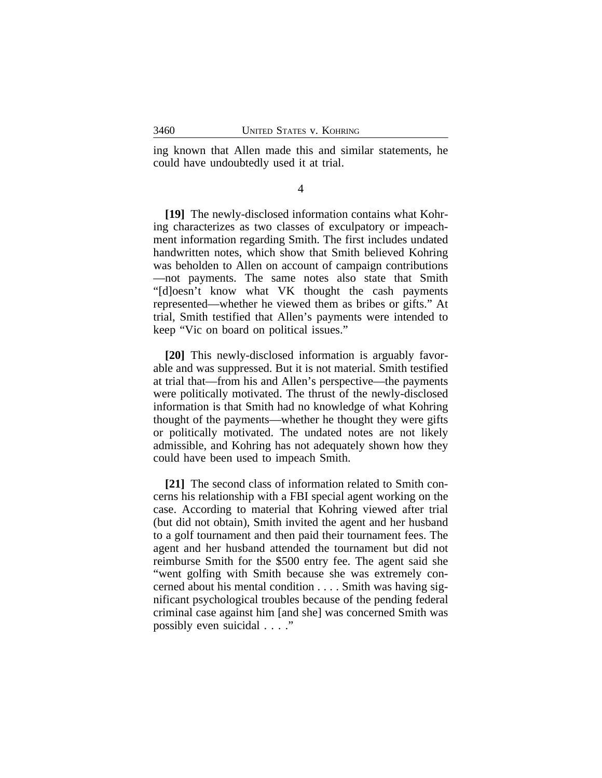ing known that Allen made this and similar statements, he could have undoubtedly used it at trial.

4

**[19]** The newly-disclosed information contains what Kohring characterizes as two classes of exculpatory or impeachment information regarding Smith. The first includes undated handwritten notes, which show that Smith believed Kohring was beholden to Allen on account of campaign contributions —not payments. The same notes also state that Smith "[d]oesn't know what VK thought the cash payments represented—whether he viewed them as bribes or gifts." At trial, Smith testified that Allen's payments were intended to keep "Vic on board on political issues."

**[20]** This newly-disclosed information is arguably favorable and was suppressed. But it is not material. Smith testified at trial that—from his and Allen's perspective—the payments were politically motivated. The thrust of the newly-disclosed information is that Smith had no knowledge of what Kohring thought of the payments—whether he thought they were gifts or politically motivated. The undated notes are not likely admissible, and Kohring has not adequately shown how they could have been used to impeach Smith.

**[21]** The second class of information related to Smith concerns his relationship with a FBI special agent working on the case. According to material that Kohring viewed after trial (but did not obtain), Smith invited the agent and her husband to a golf tournament and then paid their tournament fees. The agent and her husband attended the tournament but did not reimburse Smith for the \$500 entry fee. The agent said she "went golfing with Smith because she was extremely concerned about his mental condition . . . . Smith was having significant psychological troubles because of the pending federal criminal case against him [and she] was concerned Smith was possibly even suicidal . . . ."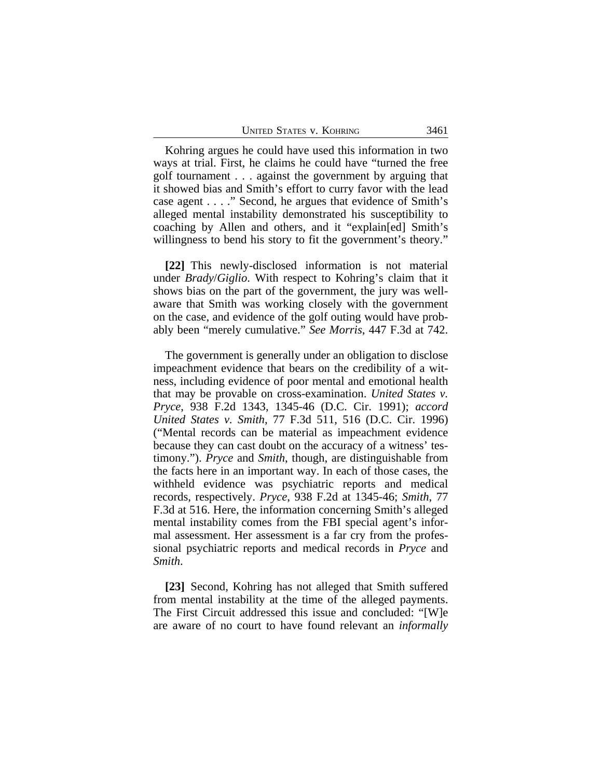| <b>UNITED STATES V. KOHRING</b><br>3461 |  |
|-----------------------------------------|--|
|-----------------------------------------|--|

Kohring argues he could have used this information in two ways at trial. First, he claims he could have "turned the free golf tournament . . . against the government by arguing that it showed bias and Smith's effort to curry favor with the lead case agent . . . ." Second, he argues that evidence of Smith's alleged mental instability demonstrated his susceptibility to coaching by Allen and others, and it "explain[ed] Smith's willingness to bend his story to fit the government's theory."

**[22]** This newly-disclosed information is not material under *Brady*/*Giglio*. With respect to Kohring's claim that it shows bias on the part of the government, the jury was wellaware that Smith was working closely with the government on the case, and evidence of the golf outing would have probably been "merely cumulative." *See Morris*, 447 F.3d at 742.

The government is generally under an obligation to disclose impeachment evidence that bears on the credibility of a witness, including evidence of poor mental and emotional health that may be provable on cross-examination. *United States v. Pryce*, 938 F.2d 1343, 1345-46 (D.C. Cir. 1991); *accord United States v. Smith*, 77 F.3d 511, 516 (D.C. Cir. 1996) ("Mental records can be material as impeachment evidence because they can cast doubt on the accuracy of a witness' testimony."). *Pryce* and *Smith*, though, are distinguishable from the facts here in an important way. In each of those cases, the withheld evidence was psychiatric reports and medical records, respectively. *Pryce*, 938 F.2d at 1345-46; *Smith*, 77 F.3d at 516. Here, the information concerning Smith's alleged mental instability comes from the FBI special agent's informal assessment. Her assessment is a far cry from the professional psychiatric reports and medical records in *Pryce* and *Smith*.

**[23]** Second, Kohring has not alleged that Smith suffered from mental instability at the time of the alleged payments. The First Circuit addressed this issue and concluded: "[W]e are aware of no court to have found relevant an *informally*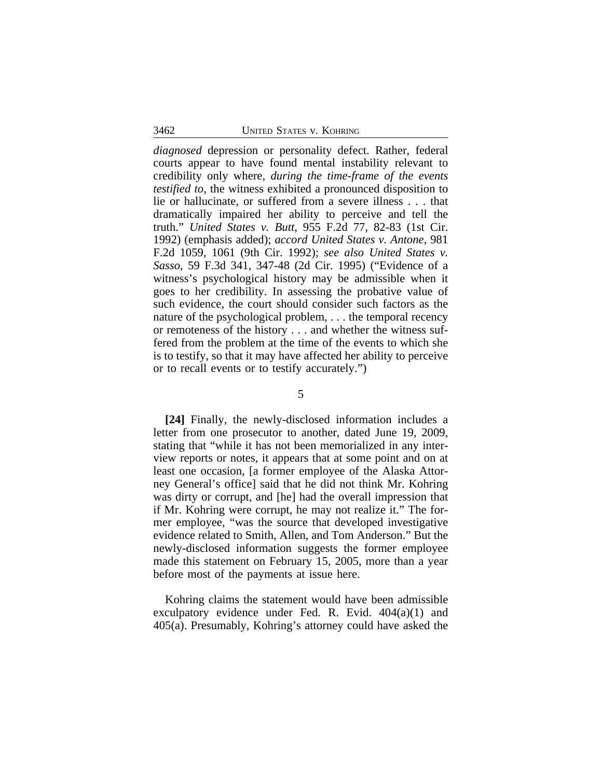*diagnosed* depression or personality defect. Rather, federal courts appear to have found mental instability relevant to credibility only where, *during the time-frame of the events testified to*, the witness exhibited a pronounced disposition to lie or hallucinate, or suffered from a severe illness . . . that dramatically impaired her ability to perceive and tell the truth." *United States v. Butt*, 955 F.2d 77, 82-83 (1st Cir. 1992) (emphasis added); *accord United States v. Antone*, 981 F.2d 1059, 1061 (9th Cir. 1992); *see also United States v. Sasso*, 59 F.3d 341, 347-48 (2d Cir. 1995) ("Evidence of a witness's psychological history may be admissible when it goes to her credibility. In assessing the probative value of such evidence, the court should consider such factors as the nature of the psychological problem, . . . the temporal recency or remoteness of the history . . . and whether the witness suffered from the problem at the time of the events to which she is to testify, so that it may have affected her ability to perceive or to recall events or to testify accurately.")

#### 5

**[24]** Finally, the newly-disclosed information includes a letter from one prosecutor to another, dated June 19, 2009, stating that "while it has not been memorialized in any interview reports or notes, it appears that at some point and on at least one occasion, [a former employee of the Alaska Attorney General's office] said that he did not think Mr. Kohring was dirty or corrupt, and [he] had the overall impression that if Mr. Kohring were corrupt, he may not realize it." The former employee, "was the source that developed investigative evidence related to Smith, Allen, and Tom Anderson." But the newly-disclosed information suggests the former employee made this statement on February 15, 2005, more than a year before most of the payments at issue here.

Kohring claims the statement would have been admissible exculpatory evidence under Fed. R. Evid. 404(a)(1) and 405(a). Presumably, Kohring's attorney could have asked the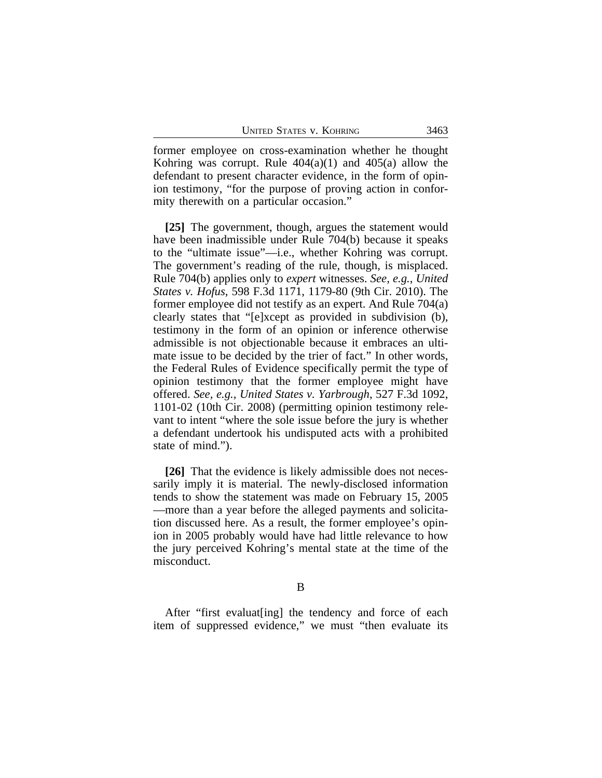former employee on cross-examination whether he thought Kohring was corrupt. Rule  $404(a)(1)$  and  $405(a)$  allow the defendant to present character evidence, in the form of opinion testimony, "for the purpose of proving action in conformity therewith on a particular occasion."

**[25]** The government, though, argues the statement would have been inadmissible under Rule 704(b) because it speaks to the "ultimate issue"—i.e., whether Kohring was corrupt. The government's reading of the rule, though, is misplaced. Rule 704(b) applies only to *expert* witnesses. *See, e.g.*, *United States v. Hofus*, 598 F.3d 1171, 1179-80 (9th Cir. 2010). The former employee did not testify as an expert. And Rule 704(a) clearly states that "[e]xcept as provided in subdivision (b), testimony in the form of an opinion or inference otherwise admissible is not objectionable because it embraces an ultimate issue to be decided by the trier of fact." In other words, the Federal Rules of Evidence specifically permit the type of opinion testimony that the former employee might have offered. *See, e.g., United States v. Yarbrough*, 527 F.3d 1092, 1101-02 (10th Cir. 2008) (permitting opinion testimony relevant to intent "where the sole issue before the jury is whether a defendant undertook his undisputed acts with a prohibited state of mind.").

**[26]** That the evidence is likely admissible does not necessarily imply it is material. The newly-disclosed information tends to show the statement was made on February 15, 2005 —more than a year before the alleged payments and solicitation discussed here. As a result, the former employee's opinion in 2005 probably would have had little relevance to how the jury perceived Kohring's mental state at the time of the misconduct.

B

After "first evaluat[ing] the tendency and force of each item of suppressed evidence," we must "then evaluate its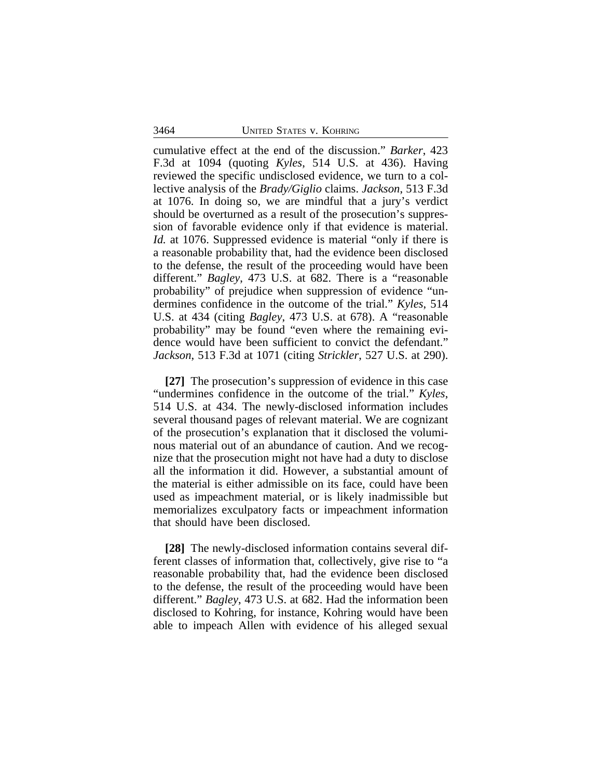cumulative effect at the end of the discussion." *Barker*, 423 F.3d at 1094 (quoting *Kyles*, 514 U.S. at 436). Having reviewed the specific undisclosed evidence, we turn to a collective analysis of the *Brady/Giglio* claims. *Jackson*, 513 F.3d at 1076. In doing so, we are mindful that a jury's verdict should be overturned as a result of the prosecution's suppression of favorable evidence only if that evidence is material. *Id.* at 1076. Suppressed evidence is material "only if there is a reasonable probability that, had the evidence been disclosed to the defense, the result of the proceeding would have been different." *Bagley*, 473 U.S. at 682. There is a "reasonable probability" of prejudice when suppression of evidence "undermines confidence in the outcome of the trial." *Kyles*, 514 U.S. at 434 (citing *Bagley*, 473 U.S. at 678). A "reasonable probability" may be found "even where the remaining evidence would have been sufficient to convict the defendant." *Jackson*, 513 F.3d at 1071 (citing *Strickler*, 527 U.S. at 290).

**[27]** The prosecution's suppression of evidence in this case "undermines confidence in the outcome of the trial." *Kyles*, 514 U.S. at 434. The newly-disclosed information includes several thousand pages of relevant material. We are cognizant of the prosecution's explanation that it disclosed the voluminous material out of an abundance of caution. And we recognize that the prosecution might not have had a duty to disclose all the information it did. However, a substantial amount of the material is either admissible on its face, could have been used as impeachment material, or is likely inadmissible but memorializes exculpatory facts or impeachment information that should have been disclosed.

**[28]** The newly-disclosed information contains several different classes of information that, collectively, give rise to "a reasonable probability that, had the evidence been disclosed to the defense, the result of the proceeding would have been different." *Bagley*, 473 U.S. at 682. Had the information been disclosed to Kohring, for instance, Kohring would have been able to impeach Allen with evidence of his alleged sexual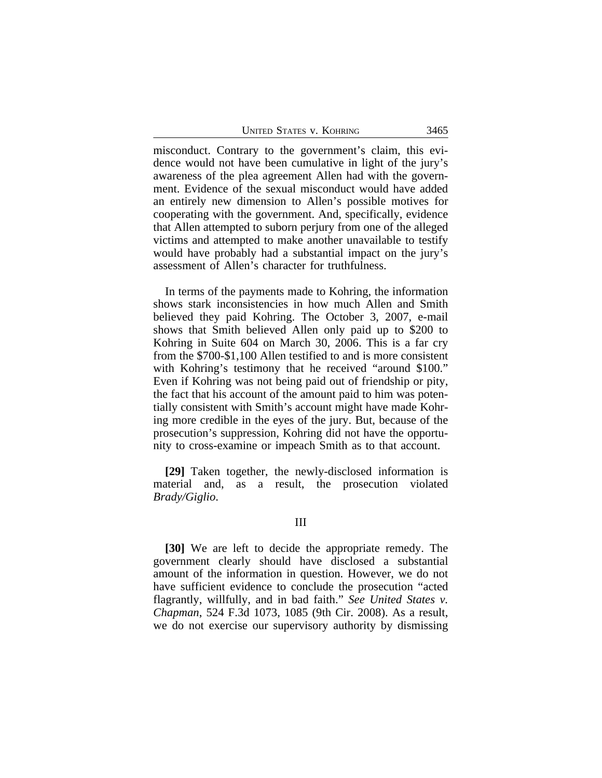| 3465<br><b>UNITED STATES V. KOHRING</b> |
|-----------------------------------------|
|-----------------------------------------|

misconduct. Contrary to the government's claim, this evidence would not have been cumulative in light of the jury's awareness of the plea agreement Allen had with the government. Evidence of the sexual misconduct would have added an entirely new dimension to Allen's possible motives for cooperating with the government. And, specifically, evidence that Allen attempted to suborn perjury from one of the alleged victims and attempted to make another unavailable to testify would have probably had a substantial impact on the jury's assessment of Allen's character for truthfulness.

In terms of the payments made to Kohring, the information shows stark inconsistencies in how much Allen and Smith believed they paid Kohring. The October 3, 2007, e-mail shows that Smith believed Allen only paid up to \$200 to Kohring in Suite 604 on March 30, 2006. This is a far cry from the \$700-\$1,100 Allen testified to and is more consistent with Kohring's testimony that he received "around \$100." Even if Kohring was not being paid out of friendship or pity, the fact that his account of the amount paid to him was potentially consistent with Smith's account might have made Kohring more credible in the eyes of the jury. But, because of the prosecution's suppression, Kohring did not have the opportunity to cross-examine or impeach Smith as to that account.

**[29]** Taken together, the newly-disclosed information is material and, as a result, the prosecution violated *Brady/Giglio*.

#### III

**[30]** We are left to decide the appropriate remedy. The government clearly should have disclosed a substantial amount of the information in question. However, we do not have sufficient evidence to conclude the prosecution "acted flagrantly, willfully, and in bad faith." *See United States v. Chapman*, 524 F.3d 1073, 1085 (9th Cir. 2008). As a result, we do not exercise our supervisory authority by dismissing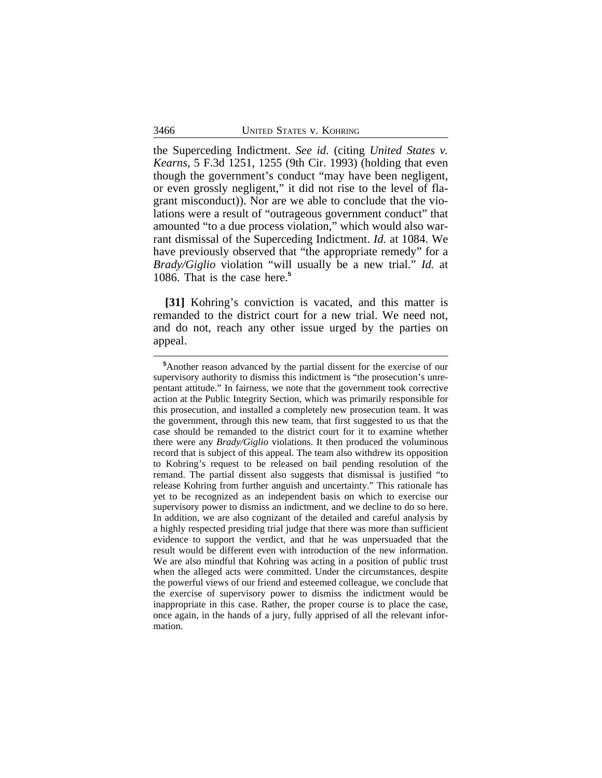the Superceding Indictment. *See id.* (citing *United States v. Kearns*, 5 F.3d 1251, 1255 (9th Cir. 1993) (holding that even though the government's conduct "may have been negligent, or even grossly negligent," it did not rise to the level of flagrant misconduct)). Nor are we able to conclude that the violations were a result of "outrageous government conduct" that amounted "to a due process violation," which would also warrant dismissal of the Superceding Indictment. *Id.* at 1084. We have previously observed that "the appropriate remedy" for a *Brady/Giglio* violation "will usually be a new trial." *Id.* at 1086. That is the case here.**<sup>5</sup>**

**[31]** Kohring's conviction is vacated, and this matter is remanded to the district court for a new trial. We need not, and do not, reach any other issue urged by the parties on appeal.

**<sup>5</sup>**Another reason advanced by the partial dissent for the exercise of our supervisory authority to dismiss this indictment is "the prosecution's unrepentant attitude." In fairness, we note that the government took corrective action at the Public Integrity Section, which was primarily responsible for this prosecution, and installed a completely new prosecution team. It was the government, through this new team, that first suggested to us that the case should be remanded to the district court for it to examine whether there were any *Brady/Giglio* violations. It then produced the voluminous record that is subject of this appeal. The team also withdrew its opposition to Kohring's request to be released on bail pending resolution of the remand. The partial dissent also suggests that dismissal is justified "to release Kohring from further anguish and uncertainty." This rationale has yet to be recognized as an independent basis on which to exercise our supervisory power to dismiss an indictment, and we decline to do so here. In addition, we are also cognizant of the detailed and careful analysis by a highly respected presiding trial judge that there was more than sufficient evidence to support the verdict, and that he was unpersuaded that the result would be different even with introduction of the new information. We are also mindful that Kohring was acting in a position of public trust when the alleged acts were committed. Under the circumstances, despite the powerful views of our friend and esteemed colleague, we conclude that the exercise of supervisory power to dismiss the indictment would be inappropriate in this case. Rather, the proper course is to place the case, once again, in the hands of a jury, fully apprised of all the relevant information.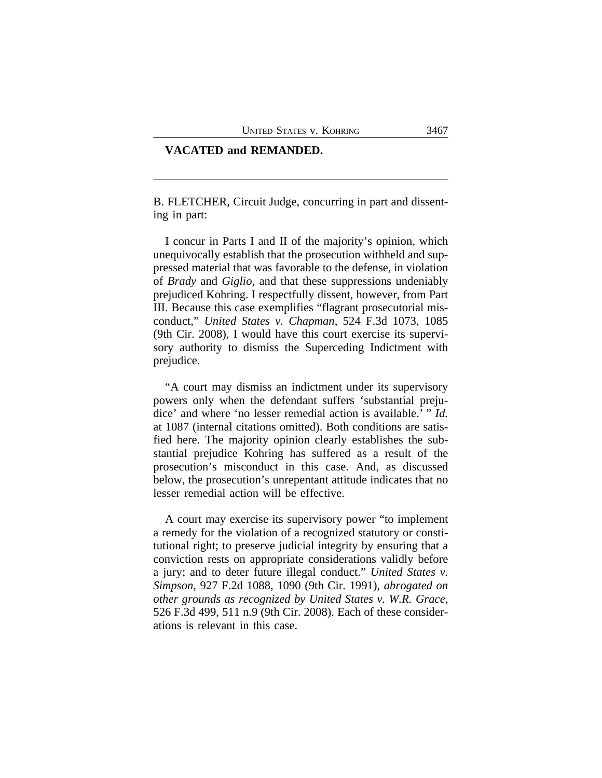#### **VACATED and REMANDED.**

B. FLETCHER, Circuit Judge, concurring in part and dissenting in part:

I concur in Parts I and II of the majority's opinion, which unequivocally establish that the prosecution withheld and suppressed material that was favorable to the defense, in violation of *Brady* and *Giglio*, and that these suppressions undeniably prejudiced Kohring. I respectfully dissent, however, from Part III. Because this case exemplifies "flagrant prosecutorial misconduct," *United States v. Chapman*, 524 F.3d 1073, 1085 (9th Cir. 2008), I would have this court exercise its supervisory authority to dismiss the Superceding Indictment with prejudice.

"A court may dismiss an indictment under its supervisory powers only when the defendant suffers 'substantial prejudice' and where 'no lesser remedial action is available.' " *Id.* at 1087 (internal citations omitted). Both conditions are satisfied here. The majority opinion clearly establishes the substantial prejudice Kohring has suffered as a result of the prosecution's misconduct in this case. And, as discussed below, the prosecution's unrepentant attitude indicates that no lesser remedial action will be effective.

A court may exercise its supervisory power "to implement a remedy for the violation of a recognized statutory or constitutional right; to preserve judicial integrity by ensuring that a conviction rests on appropriate considerations validly before a jury; and to deter future illegal conduct." *United States v. Simpson*, 927 F.2d 1088, 1090 (9th Cir. 1991), *abrogated on other grounds as recognized by United States v. W.R. Grace*, 526 F.3d 499, 511 n.9 (9th Cir. 2008). Each of these considerations is relevant in this case.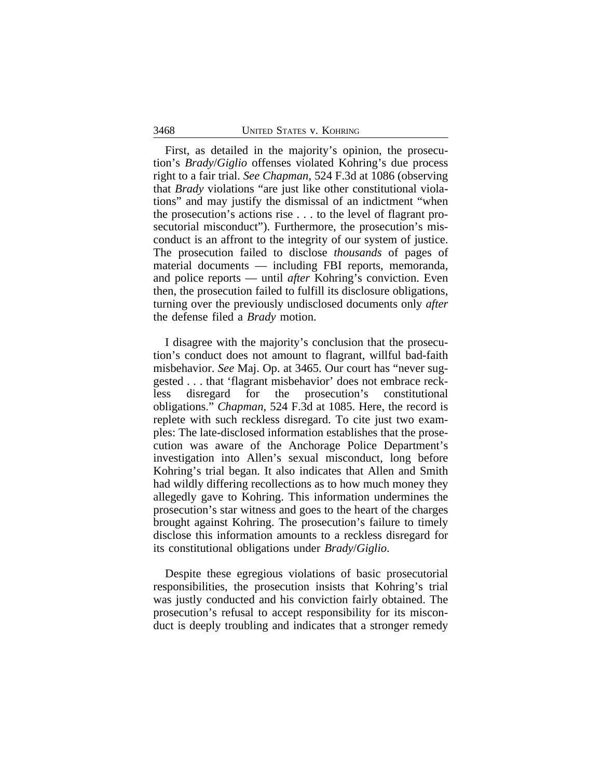#### 3468 UNITED STATES v. KOHRING

First, as detailed in the majority's opinion, the prosecution's *Brady*/*Giglio* offenses violated Kohring's due process right to a fair trial. *See Chapman*, 524 F.3d at 1086 (observing that *Brady* violations "are just like other constitutional violations" and may justify the dismissal of an indictment "when the prosecution's actions rise . . . to the level of flagrant prosecutorial misconduct"). Furthermore, the prosecution's misconduct is an affront to the integrity of our system of justice. The prosecution failed to disclose *thousands* of pages of material documents — including FBI reports, memoranda, and police reports — until *after* Kohring's conviction. Even then, the prosecution failed to fulfill its disclosure obligations, turning over the previously undisclosed documents only *after* the defense filed a *Brady* motion.

I disagree with the majority's conclusion that the prosecution's conduct does not amount to flagrant, willful bad-faith misbehavior. *See* Maj. Op. at 3465. Our court has "never suggested . . . that 'flagrant misbehavior' does not embrace reckless disregard for the prosecution's constitutional obligations." *Chapman*, 524 F.3d at 1085. Here, the record is replete with such reckless disregard. To cite just two examples: The late-disclosed information establishes that the prosecution was aware of the Anchorage Police Department's investigation into Allen's sexual misconduct, long before Kohring's trial began. It also indicates that Allen and Smith had wildly differing recollections as to how much money they allegedly gave to Kohring. This information undermines the prosecution's star witness and goes to the heart of the charges brought against Kohring. The prosecution's failure to timely disclose this information amounts to a reckless disregard for its constitutional obligations under *Brady*/*Giglio*.

Despite these egregious violations of basic prosecutorial responsibilities, the prosecution insists that Kohring's trial was justly conducted and his conviction fairly obtained. The prosecution's refusal to accept responsibility for its misconduct is deeply troubling and indicates that a stronger remedy